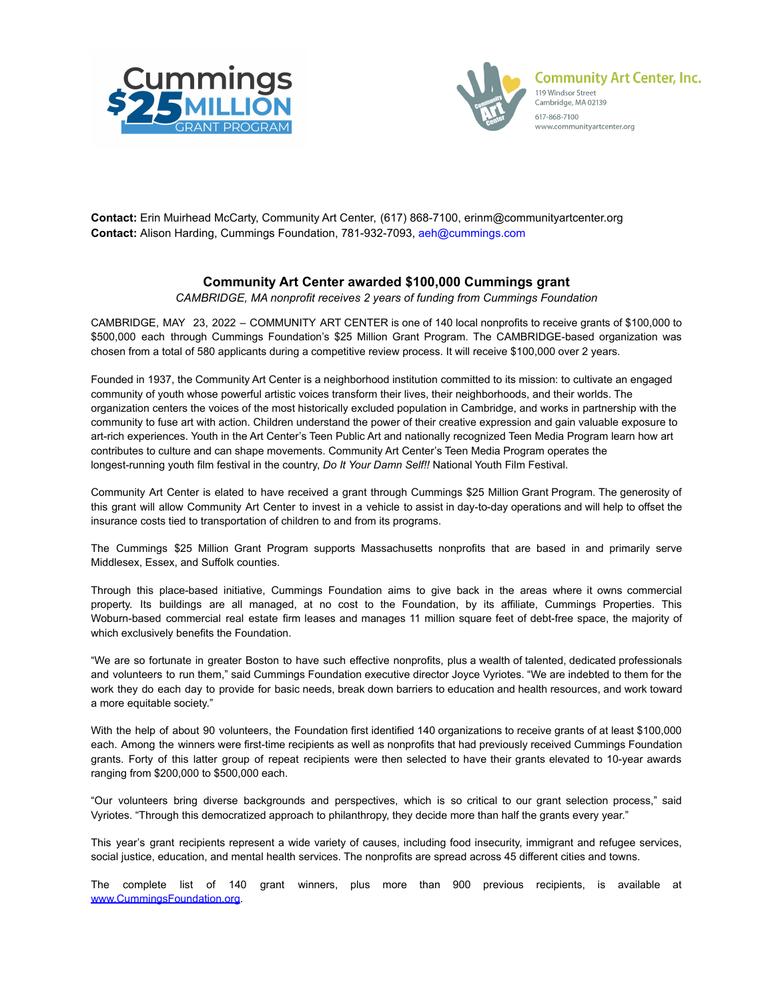



**Contact:** Erin Muirhead McCarty, Community Art Center, (617) 868-7100, erinm@communityartcenter.org **Contact:** Alison Harding, Cummings Foundation, 781-932-7093, aeh@cummings.com

## **Community Art Center awarded \$100,000 Cummings grant**

*CAMBRIDGE, MA nonprofit receives 2 years of funding from Cummings Foundation*

CAMBRIDGE, MAY 23, 2022 – COMMUNITY ART CENTER is one of 140 local nonprofits to receive grants of \$100,000 to \$500,000 each through Cummings Foundation's \$25 Million Grant Program. The CAMBRIDGE-based organization was chosen from a total of 580 applicants during a competitive review process. It will receive \$100,000 over 2 years.

Founded in 1937, the Community Art Center is a neighborhood institution committed to its mission: to cultivate an engaged community of youth whose powerful artistic voices transform their lives, their neighborhoods, and their worlds. The organization centers the voices of the most historically excluded population in Cambridge, and works in partnership with the community to fuse art with action. Children understand the power of their creative expression and gain valuable exposure to art-rich experiences. Youth in the Art Center's Teen Public Art and nationally recognized Teen Media Program learn how art contributes to culture and can shape movements. Community Art Center's Teen Media Program operates the longest-running youth film festival in the country, *Do It Your Damn Self!!* National Youth Film Festival.

Community Art Center is elated to have received a grant through Cummings \$25 Million Grant Program. The generosity of this grant will allow Community Art Center to invest in a vehicle to assist in day-to-day operations and will help to offset the insurance costs tied to transportation of children to and from its programs.

The Cummings \$25 Million Grant Program supports Massachusetts nonprofits that are based in and primarily serve Middlesex, Essex, and Suffolk counties.

Through this place-based initiative, Cummings Foundation aims to give back in the areas where it owns commercial property. Its buildings are all managed, at no cost to the Foundation, by its affiliate, Cummings Properties. This Woburn-based commercial real estate firm leases and manages 11 million square feet of debt-free space, the majority of which exclusively benefits the Foundation.

"We are so fortunate in greater Boston to have such effective nonprofits, plus a wealth of talented, dedicated professionals and volunteers to run them," said Cummings Foundation executive director Joyce Vyriotes. "We are indebted to them for the work they do each day to provide for basic needs, break down barriers to education and health resources, and work toward a more equitable society."

With the help of about 90 volunteers, the Foundation first identified 140 organizations to receive grants of at least \$100,000 each. Among the winners were first-time recipients as well as nonprofits that had previously received Cummings Foundation grants. Forty of this latter group of repeat recipients were then selected to have their grants elevated to 10-year awards ranging from \$200,000 to \$500,000 each.

"Our volunteers bring diverse backgrounds and perspectives, which is so critical to our grant selection process," said Vyriotes. "Through this democratized approach to philanthropy, they decide more than half the grants every year."

This year's grant recipients represent a wide variety of causes, including food insecurity, immigrant and refugee services, social justice, education, and mental health services. The nonprofits are spread across 45 different cities and towns.

The complete list of 140 grant winners, plus more than 900 previous recipients, is available a[t](http://www.cummingsfoundation.org) [www.CummingsFoundation.org](http://www.cummingsfoundation.org).